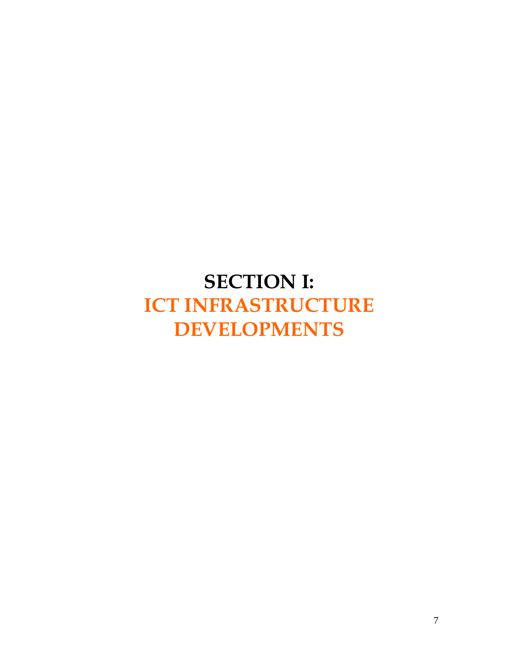# **SECTION I: ICT INFRASTRUCTURE DEVELOPMENTS**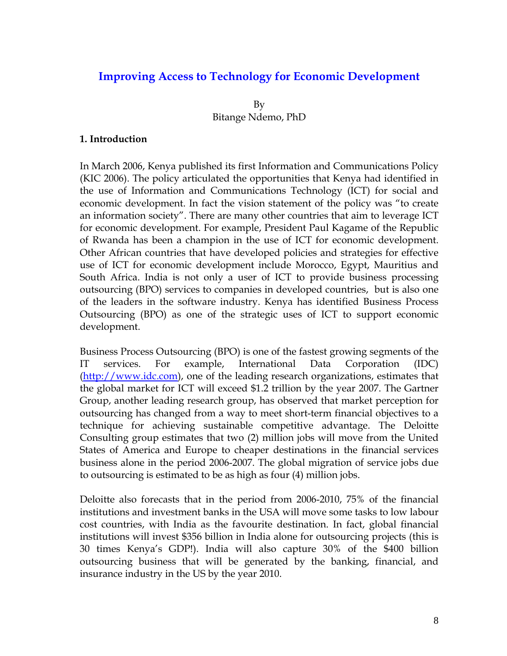# **Improving Access to Technology for Economic Development**

By Bitange Ndemo, PhD

### **1. Introduction**

In March 2006, Kenya published its first Information and Communications Policy (KIC 2006). The policy articulated the opportunities that Kenya had identified in the use of Information and Communications Technology (ICT) for social and economic development. In fact the vision statement of the policy was "to create an information society". There are many other countries that aim to leverage ICT for economic development. For example, President Paul Kagame of the Republic of Rwanda has been a champion in the use of ICT for economic development. Other African countries that have developed policies and strategies for effective use of ICT for economic development include Morocco, Egypt, Mauritius and South Africa. India is not only a user of ICT to provide business processing outsourcing (BPO) services to companies in developed countries, but is also one of the leaders in the software industry. Kenya has identified Business Process Outsourcing (BPO) as one of the strategic uses of ICT to support economic development.

Business Process Outsourcing (BPO) is one of the fastest growing segments of the IT services. For example, International Data Corporation (IDC) [\(http://www.idc.com\)](http://www.idc.com/), one of the leading research organizations, estimates that the global market for ICT will exceed \$1.2 trillion by the year 2007. The Gartner Group, another leading research group, has observed that market perception for outsourcing has changed from a way to meet short-term financial objectives to a technique for achieving sustainable competitive advantage. The Deloitte Consulting group estimates that two (2) million jobs will move from the United States of America and Europe to cheaper destinations in the financial services business alone in the period 2006-2007. The global migration of service jobs due to outsourcing is estimated to be as high as four (4) million jobs.

Deloitte also forecasts that in the period from 2006-2010, 75% of the financial institutions and investment banks in the USA will move some tasks to low labour cost countries, with India as the favourite destination. In fact, global financial institutions will invest \$356 billion in India alone for outsourcing projects (this is 30 times Kenya's GDP!). India will also capture 30% of the \$400 billion outsourcing business that will be generated by the banking, financial, and insurance industry in the US by the year 2010.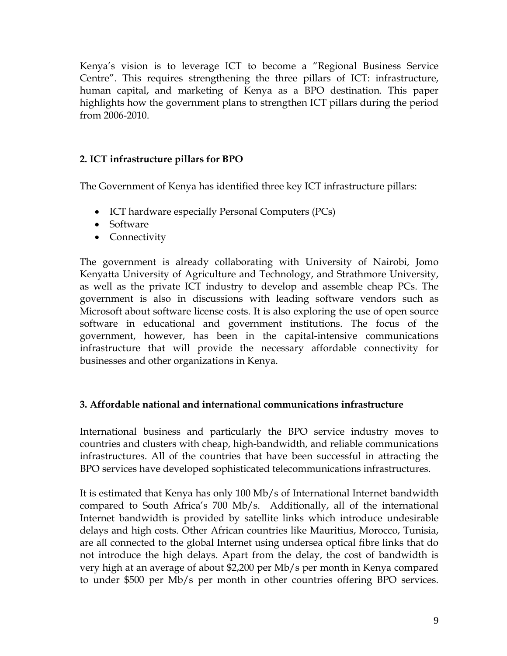Kenya's vision is to leverage ICT to become a "Regional Business Service Centre". This requires strengthening the three pillars of ICT: infrastructure, human capital, and marketing of Kenya as a BPO destination. This paper highlights how the government plans to strengthen ICT pillars during the period from 2006-2010.

## **2. ICT infrastructure pillars for BPO**

The Government of Kenya has identified three key ICT infrastructure pillars:

- ICT hardware especially Personal Computers (PCs)
- Software
- Connectivity

The government is already collaborating with University of Nairobi, Jomo Kenyatta University of Agriculture and Technology, and Strathmore University, as well as the private ICT industry to develop and assemble cheap PCs. The government is also in discussions with leading software vendors such as Microsoft about software license costs. It is also exploring the use of open source software in educational and government institutions. The focus of the government, however, has been in the capital-intensive communications infrastructure that will provide the necessary affordable connectivity for businesses and other organizations in Kenya.

## **3. Affordable national and international communications infrastructure**

International business and particularly the BPO service industry moves to countries and clusters with cheap, high-bandwidth, and reliable communications infrastructures. All of the countries that have been successful in attracting the BPO services have developed sophisticated telecommunications infrastructures.

It is estimated that Kenya has only 100 Mb/s of International Internet bandwidth compared to South Africa's 700 Mb/s. Additionally, all of the international Internet bandwidth is provided by satellite links which introduce undesirable delays and high costs. Other African countries like Mauritius, Morocco, Tunisia, are all connected to the global Internet using undersea optical fibre links that do not introduce the high delays. Apart from the delay, the cost of bandwidth is very high at an average of about \$2,200 per Mb/s per month in Kenya compared to under \$500 per Mb/s per month in other countries offering BPO services.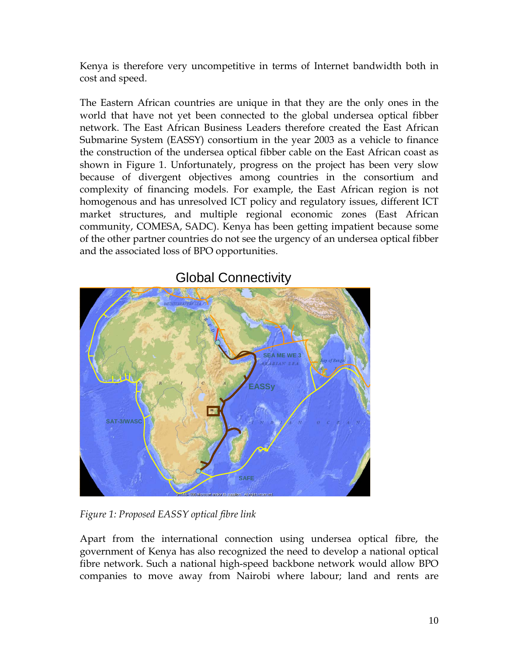Kenya is therefore very uncompetitive in terms of Internet bandwidth both in cost and speed.

The Eastern African countries are unique in that they are the only ones in the world that have not yet been connected to the global undersea optical fibber network. The East African Business Leaders therefore created the East African Submarine System (EASSY) consortium in the year 2003 as a vehicle to finance the construction of the undersea optical fibber cable on the East African coast as shown in Figure 1. Unfortunately, progress on the project has been very slow because of divergent objectives among countries in the consortium and complexity of financing models. For example, the East African region is not homogenous and has unresolved ICT policy and regulatory issues, different ICT market structures, and multiple regional economic zones (East African community, COMESA, SADC). Kenya has been getting impatient because some of the other partner countries do not see the urgency of an undersea optical fibber and the associated loss of BPO opportunities.



Global Connectivity

*Figure 1: Proposed EASSY optical fibre link* 

Apart from the international connection using undersea optical fibre, the government of Kenya has also recognized the need to develop a national optical fibre network. Such a national high-speed backbone network would allow BPO companies to move away from Nairobi where labour; land and rents are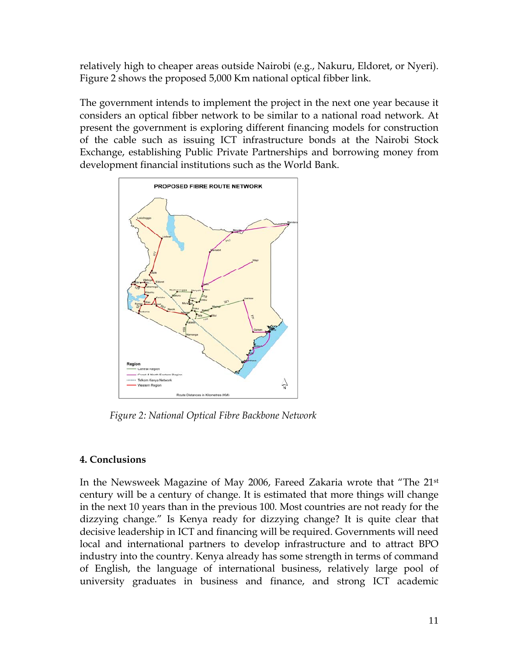relatively high to cheaper areas outside Nairobi (e.g., Nakuru, Eldoret, or Nyeri). Figure 2 shows the proposed 5,000 Km national optical fibber link.

The government intends to implement the project in the next one year because it considers an optical fibber network to be similar to a national road network. At present the government is exploring different financing models for construction of the cable such as issuing ICT infrastructure bonds at the Nairobi Stock Exchange, establishing Public Private Partnerships and borrowing money from development financial institutions such as the World Bank.



*Figure 2: National Optical Fibre Backbone Network* 

## **4. Conclusions**

In the Newsweek Magazine of May 2006, Fareed Zakaria wrote that "The 21st century will be a century of change. It is estimated that more things will change in the next 10 years than in the previous 100. Most countries are not ready for the dizzying change." Is Kenya ready for dizzying change? It is quite clear that decisive leadership in ICT and financing will be required. Governments will need local and international partners to develop infrastructure and to attract BPO industry into the country. Kenya already has some strength in terms of command of English, the language of international business, relatively large pool of university graduates in business and finance, and strong ICT academic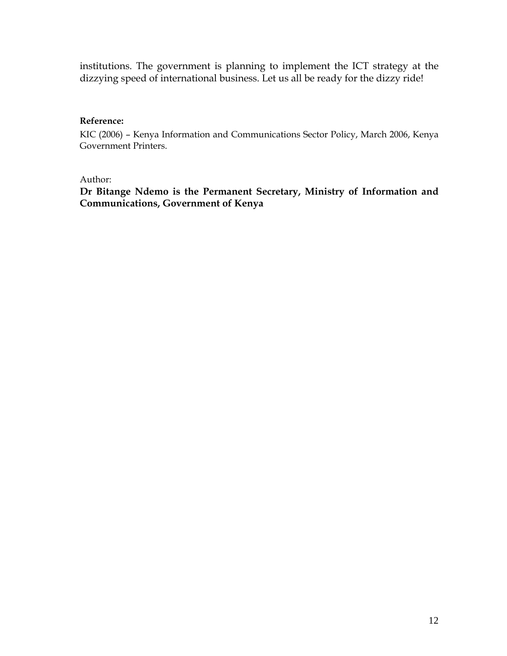institutions. The government is planning to implement the ICT strategy at the dizzying speed of international business. Let us all be ready for the dizzy ride!

## **Reference:**

KIC (2006) – Kenya Information and Communications Sector Policy, March 2006, Kenya Government Printers.

### Author:

**Dr Bitange Ndemo is the Permanent Secretary, Ministry of Information and Communications, Government of Kenya**